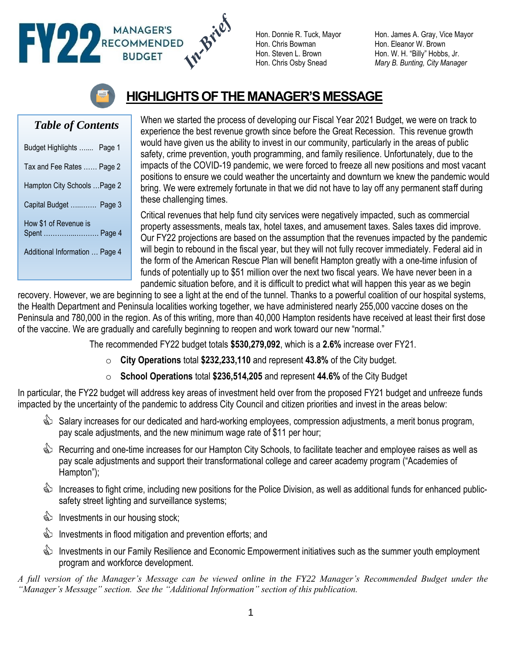## RECOMMENDED

Hon. Chris Bowman Hon. Eleanor W. Brown

Hon. Donnie R. Tuck, Mayor Hon. James A. Gray, Vice Mayor Hon. Steven L. Brown Hon. W. H. "Billy" Hobbs, Jr. Hon. Chris Osby Snead *Mary B. Bunting, City Manager*



## **HIGHLIGHTS OF THE MANAGER'S MESSAGE**

## *Table of Contents*

| Budget Highlights  Page 1              |
|----------------------------------------|
| Tax and Fee Rates  Page 2              |
| Hampton City Schools  Page 2           |
| Capital Budget  Page 3                 |
| How \$1 of Revenue is<br>Spent  Page 4 |
| Additional Information  Page 4         |

When we started the process of developing our Fiscal Year 2021 Budget, we were on track to experience the best revenue growth since before the Great Recession. This revenue growth would have given us the ability to invest in our community, particularly in the areas of public safety, crime prevention, youth programming, and family resilience. Unfortunately, due to the impacts of the COVID-19 pandemic, we were forced to freeze all new positions and most vacant positions to ensure we could weather the uncertainty and downturn we knew the pandemic would bring. We were extremely fortunate in that we did not have to lay off any permanent staff during these challenging times.

Critical revenues that help fund city services were negatively impacted, such as commercial property assessments, meals tax, hotel taxes, and amusement taxes. Sales taxes did improve. Our FY22 projections are based on the assumption that the revenues impacted by the pandemic will begin to rebound in the fiscal year, but they will not fully recover immediately. Federal aid in the form of the American Rescue Plan will benefit Hampton greatly with a one-time infusion of funds of potentially up to \$51 million over the next two fiscal years. We have never been in a pandemic situation before, and it is difficult to predict what will happen this year as we begin

recovery. However, we are beginning to see a light at the end of the tunnel. Thanks to a powerful coalition of our hospital systems, the Health Department and Peninsula localities working together, we have administered nearly 255,000 vaccine doses on the Peninsula and 780,000 in the region. As of this writing, more than 40,000 Hampton residents have received at least their first dose of the vaccine. We are gradually and carefully beginning to reopen and work toward our new "normal."

The recommended FY22 budget totals **\$530,279,092**, which is a **2.6%** increase over FY21.

- o **City Operations** total **\$232,233,110** and represent **43.8%** of the City budget.
- o **School Operations** total **\$236,514,205** and represent **44.6%** of the City Budget

In particular, the FY22 budget will address key areas of investment held over from the proposed FY21 budget and unfreeze funds impacted by the uncertainty of the pandemic to address City Council and citizen priorities and invest in the areas below:

- Salary increases for our dedicated and hard-working employees, compression adjustments, a merit bonus program, pay scale adjustments, and the new minimum wage rate of \$11 per hour;
- S Recurring and one-time increases for our Hampton City Schools, to facilitate teacher and employee raises as well as pay scale adjustments and support their transformational college and career academy program ("Academies of Hampton");
- S Increases to fight crime, including new positions for the Police Division, as well as additional funds for enhanced publicsafety street lighting and surveillance systems;
- **Investments in our housing stock;**
- **Investments in flood mitigation and prevention efforts; and**
- **S** Investments in our Family Resilience and Economic Empowerment initiatives such as the summer youth employment program and workforce development.

*A full version of the Manager's Message can be viewed online in the FY22 Manager's Recommended Budget under the "Manager's Message" section. See the "Additional Information" section of this publication.*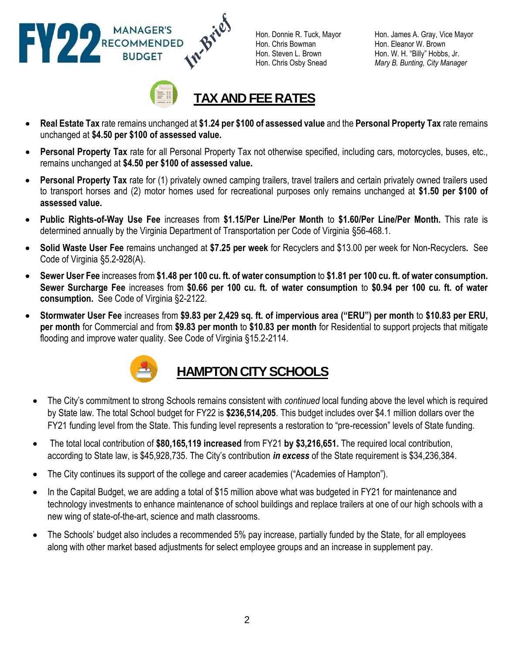

Hon. Chris Bowman Hon. Eleanor W. Brown

Hon. Donnie R. Tuck, Mayor Hon. James A. Gray, Vice Mayor Hon. Steven L. Brown Hon. W. H. "Billy" Hobbs, Jr. Hon. Chris Osby Snead *Mary B. Bunting, City Manager*



- **Real Estate Tax** rate remains unchanged at **\$1.24 per \$100 of assessed value** and the **Personal Property Tax** rate remains unchanged at **\$4.50 per \$100 of assessed value.**
- **Personal Property Tax** rate for all Personal Property Tax not otherwise specified, including cars, motorcycles, buses, etc., remains unchanged at **\$4.50 per \$100 of assessed value.**
- **Personal Property Tax** rate for (1) privately owned camping trailers, travel trailers and certain privately owned trailers used to transport horses and (2) motor homes used for recreational purposes only remains unchanged at **\$1.50 per \$100 of assessed value.**
- **Public Rights-of-Way Use Fee** increases from **\$1.15/Per Line/Per Month** to **\$1.60/Per Line/Per Month.** This rate is determined annually by the Virginia Department of Transportation per Code of Virginia §56-468.1.
- **Solid Waste User Fee** remains unchanged at **\$7.25 per week** for Recyclers and \$13.00 per week for Non-Recyclers**.** See Code of Virginia §5.2-928(A).
- **Sewer User Fee** increases from **\$1.48 per 100 cu. ft. of water consumption** to **\$1.81 per 100 cu. ft. of water consumption. Sewer Surcharge Fee** increases from **\$0.66 per 100 cu. ft. of water consumption** to **\$0.94 per 100 cu. ft. of water consumption.** See Code of Virginia §2-2122.
- **Stormwater User Fee** increases from **\$9.83 per 2,429 sq. ft. of impervious area ("ERU") per month** to **\$10.83 per ERU, per month** for Commercial and from **\$9.83 per month** to **\$10.83 per month** for Residential to support projects that mitigate flooding and improve water quality. See Code of Virginia §15.2-2114.



## **HAMPTON CITY SCHOOLS**

- The City's commitment to strong Schools remains consistent with *continued* local funding above the level which is required by State law. The total School budget for FY22 is **\$236,514,205**. This budget includes over \$4.1 million dollars over the FY21 funding level from the State. This funding level represents a restoration to "pre-recession" levels of State funding.
- The total local contribution of **\$80,165,119 increased** from FY21 **by \$3,216,651.** The required local contribution, according to State law, is \$45,928,735. The City's contribution *in excess* of the State requirement is \$34,236,384.
- The City continues its support of the college and career academies ("Academies of Hampton").
- In the Capital Budget, we are adding a total of \$15 million above what was budgeted in FY21 for maintenance and technology investments to enhance maintenance of school buildings and replace trailers at one of our high schools with a new wing of state-of-the-art, science and math classrooms.
- The Schools' budget also includes a recommended 5% pay increase, partially funded by the State, for all employees along with other market based adjustments for select employee groups and an increase in supplement pay.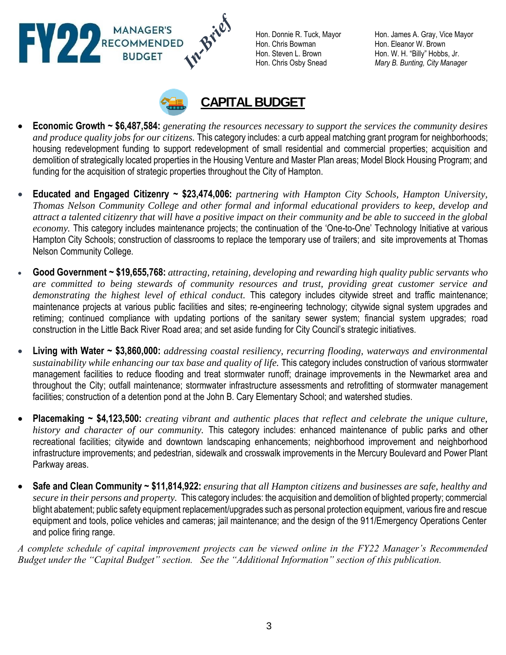W.Brief RECOMMENDED

Hon. Chris Bowman Hon. Eleanor W. Brown

Hon. Donnie R. Tuck, Mayor Hon. James A. Gray, Vice Mayor Hon. Steven L. Brown Hon. W. H. "Billy" Hobbs, Jr. Hon. Chris Osby Snead *Mary B. Bunting, City Manager*



- **Economic Growth ~ \$6,487,584:** *generating the resources necessary to support the services the community desires and produce quality jobs for our citizens.* This category includes: a curb appeal matching grant program for neighborhoods; housing redevelopment funding to support redevelopment of small residential and commercial properties; acquisition and demolition of strategically located properties in the Housing Venture and Master Plan areas; Model Block Housing Program; and funding for the acquisition of strategic properties throughout the City of Hampton.
- **Educated and Engaged Citizenry ~ \$23,474,006:** *partnering with Hampton City Schools, Hampton University, Thomas Nelson Community College and other formal and informal educational providers to keep, develop and attract a talented citizenry that will have a positive impact on their community and be able to succeed in the global economy.* This category includes maintenance projects; the continuation of the 'One-to-One' Technology Initiative at various Hampton City Schools; construction of classrooms to replace the temporary use of trailers; and site improvements at Thomas Nelson Community College.
- **Good Government ~ \$19,655,768:** *attracting, retaining, developing and rewarding high quality public servants who are committed to being stewards of community resources and trust, providing great customer service and demonstrating the highest level of ethical conduct.* This category includes citywide street and traffic maintenance; maintenance projects at various public facilities and sites; re-engineering technology; citywide signal system upgrades and retiming; continued compliance with updating portions of the sanitary sewer system; financial system upgrades; road construction in the Little Back River Road area; and set aside funding for City Council's strategic initiatives.
- **Living with Water ~ \$3,860,000:** *addressing coastal resiliency, recurring flooding, waterways and environmental sustainability while enhancing our tax base and quality of life.* This category includes construction of various stormwater management facilities to reduce flooding and treat stormwater runoff; drainage improvements in the Newmarket area and throughout the City; outfall maintenance; stormwater infrastructure assessments and retrofitting of stormwater management facilities; construction of a detention pond at the John B. Cary Elementary School; and watershed studies.
- **Placemaking ~ \$4,123,500:** *creating vibrant and authentic places that reflect and celebrate the unique culture, history and character of our community.* This category includes: enhanced maintenance of public parks and other recreational facilities; citywide and downtown landscaping enhancements; neighborhood improvement and neighborhood infrastructure improvements; and pedestrian, sidewalk and crosswalk improvements in the Mercury Boulevard and Power Plant Parkway areas.
- **Safe and Clean Community ~ \$11,814,922:** *ensuring that all Hampton citizens and businesses are safe, healthy and secure in their persons and property.* This category includes: the acquisition and demolition of blighted property; commercial blight abatement; public safety equipment replacement/upgrades such as personal protection equipment, various fire and rescue equipment and tools, police vehicles and cameras; jail maintenance; and the design of the 911/Emergency Operations Center and police firing range.

*A complete schedule of capital improvement projects can be viewed online in the FY22 Manager's Recommended Budget under the "Capital Budget" section. See the "Additional Information" section of this publication.*